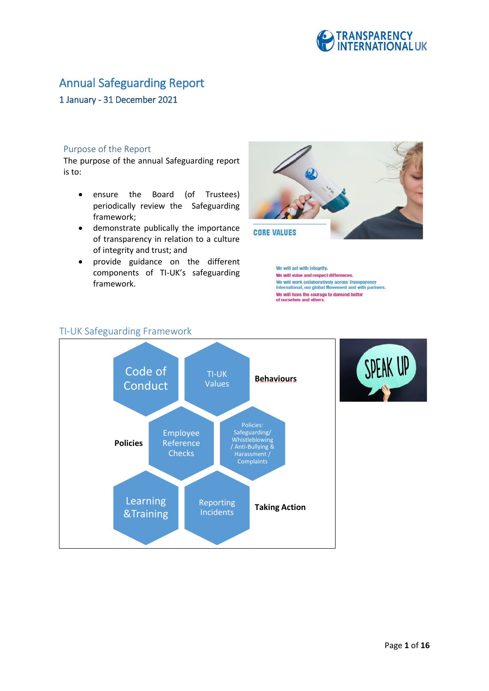

## Annual Safeguarding Report

## 1 January - 31 December 2021

## Purpose of the Report

The purpose of the annual Safeguarding report is to:

- ensure the Board (of Trustees) periodically review the Safeguarding framework;
- demonstrate publically the importance of transparency in relation to a culture of integrity and trust; and
- provide guidance on the different components of TI-UK's safeguarding framework.

TI-UK Safeguarding Framework



We will act with integrity. We will value and respect differences. we will value and respect directives.<br>We will work collaboratively across Transparency<br>International, our global Movement and with partners. We will have the courage to demand better<br>of ourselves and others.



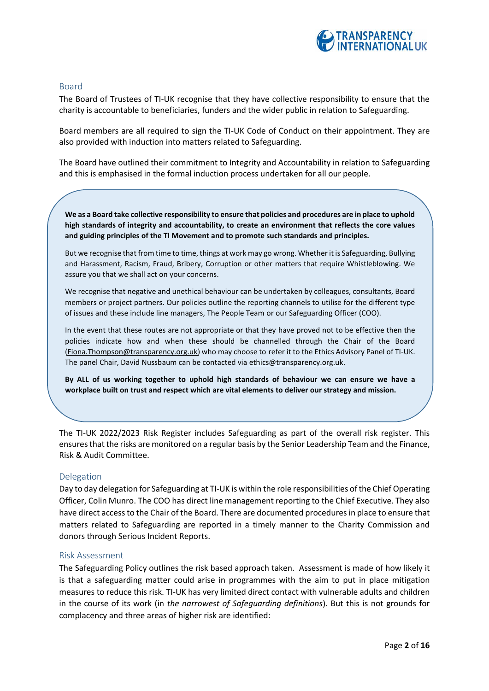

## Board

The Board of Trustees of TI-UK recognise that they have collective responsibility to ensure that the charity is accountable to beneficiaries, funders and the wider public in relation to Safeguarding.

Board members are all required to sign the TI-UK Code of Conduct on their appointment. They are also provided with induction into matters related to Safeguarding.

The Board have outlined their commitment to Integrity and Accountability in relation to Safeguarding and this is emphasised in the formal induction process undertaken for all our people.

**We as a Board take collective responsibility to ensure that policies and procedures are in place to uphold high standards of integrity and accountability, to create an environment that reflects the core values and guiding principles of the TI Movement and to promote such standards and principles.** 

But we recognise that from time to time, things at work may go wrong. Whether it is Safeguarding, Bullying and Harassment, Racism, Fraud, Bribery, Corruption or other matters that require Whistleblowing. We assure you that we shall act on your concerns.

We recognise that negative and unethical behaviour can be undertaken by colleagues, consultants, Board members or project partners. Our policies outline the reporting channels to utilise for the different type of issues and these include line managers, The People Team or our Safeguarding Officer (COO).

In the event that these routes are not appropriate or that they have proved not to be effective then the policies indicate how and when these should be channelled through the Chair of the Board [\(Fiona.Thompson@transparency.org.uk\)](mailto:Fiona.Thompson@transparency.org.uk) who may choose to refer it to the Ethics Advisory Panel of TI-UK. The panel Chair, David Nussbaum can be contacted vi[a ethics@transparency.org.uk.](mailto:ethics@transparency.org.uk)

**By ALL of us working together to uphold high standards of behaviour we can ensure we have a workplace built on trust and respect which are vital elements to deliver our strategy and mission.** 

The TI-UK 2022/2023 Risk Register includes Safeguarding as part of the overall risk register. This ensures that the risks are monitored on a regular basis by the Senior Leadership Team and the Finance, Risk & Audit Committee.

## Delegation

Day to day delegation for Safeguarding at TI-UK is within the role responsibilities of the Chief Operating Officer, Colin Munro. The COO has direct line management reporting to the Chief Executive. They also have direct access to the Chair of the Board. There are documented procedures in place to ensure that matters related to Safeguarding are reported in a timely manner to the Charity Commission and donors through Serious Incident Reports.

#### Risk Assessment

The Safeguarding Policy outlines the risk based approach taken. Assessment is made of how likely it is that a safeguarding matter could arise in programmes with the aim to put in place mitigation measures to reduce this risk. TI-UK has very limited direct contact with vulnerable adults and children in the course of its work (in *the narrowest of Safeguarding definitions*). But this is not grounds for complacency and three areas of higher risk are identified: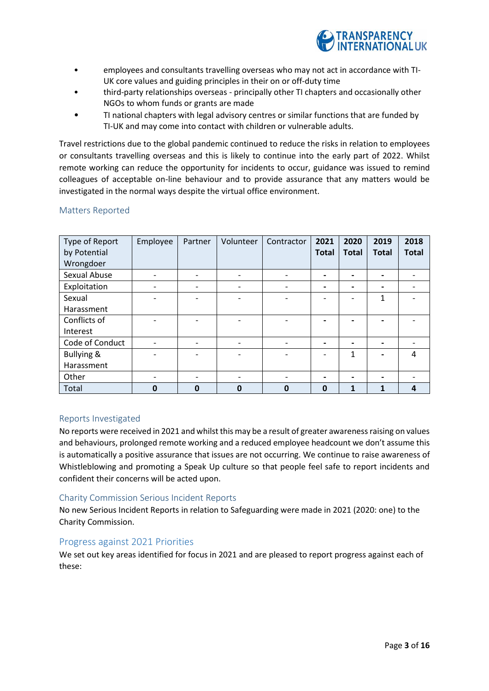

- employees and consultants travelling overseas who may not act in accordance with TI-UK core values and guiding principles in their on or off-duty time
- third-party relationships overseas principally other TI chapters and occasionally other NGOs to whom funds or grants are made
- TI national chapters with legal advisory centres or similar functions that are funded by TI-UK and may come into contact with children or vulnerable adults.

Travel restrictions due to the global pandemic continued to reduce the risks in relation to employees or consultants travelling overseas and this is likely to continue into the early part of 2022. Whilst remote working can reduce the opportunity for incidents to occur, guidance was issued to remind colleagues of acceptable on-line behaviour and to provide assurance that any matters would be investigated in the normal ways despite the virtual office environment.

## Matters Reported

| Type of Report<br>by Potential | Employee | Partner  | Volunteer                | Contractor  | 2021<br><b>Total</b>         | 2020<br><b>Total</b>     | 2019<br><b>Total</b>     | 2018<br><b>Total</b> |
|--------------------------------|----------|----------|--------------------------|-------------|------------------------------|--------------------------|--------------------------|----------------------|
| Wrongdoer                      |          |          |                          |             |                              |                          |                          |                      |
| Sexual Abuse                   |          |          |                          |             | $\overline{\phantom{0}}$     |                          |                          |                      |
| Exploitation                   | -        |          | $\overline{\phantom{a}}$ |             | $\qquad \qquad \blacksquare$ | $\overline{\phantom{0}}$ | $\overline{\phantom{0}}$ |                      |
| Sexual                         |          |          |                          |             |                              |                          | 1                        |                      |
| Harassment                     |          |          |                          |             |                              |                          |                          |                      |
| Conflicts of                   |          |          |                          |             |                              |                          |                          |                      |
| Interest                       |          |          |                          |             |                              |                          |                          |                      |
| Code of Conduct                |          |          | $\overline{\phantom{a}}$ |             | $\blacksquare$               | $\overline{\phantom{0}}$ |                          |                      |
| <b>Bullying &amp;</b>          |          |          |                          |             |                              | 1                        |                          | 4                    |
| Harassment                     |          |          |                          |             |                              |                          |                          |                      |
| Other                          | -        |          | $\overline{\phantom{a}}$ |             | $\overline{\phantom{0}}$     | $\overline{\phantom{0}}$ | $\overline{\phantom{0}}$ |                      |
| Total                          | Ω        | $\Omega$ | $\mathbf 0$              | $\mathbf 0$ | $\mathbf 0$                  | 1                        |                          | 4                    |

## Reports Investigated

No reports were received in 2021 and whilst this may be a result of greater awareness raising on values and behaviours, prolonged remote working and a reduced employee headcount we don't assume this is automatically a positive assurance that issues are not occurring. We continue to raise awareness of Whistleblowing and promoting a Speak Up culture so that people feel safe to report incidents and confident their concerns will be acted upon.

## Charity Commission Serious Incident Reports

No new Serious Incident Reports in relation to Safeguarding were made in 2021 (2020: one) to the Charity Commission.

## Progress against 2021 Priorities

We set out key areas identified for focus in 2021 and are pleased to report progress against each of these: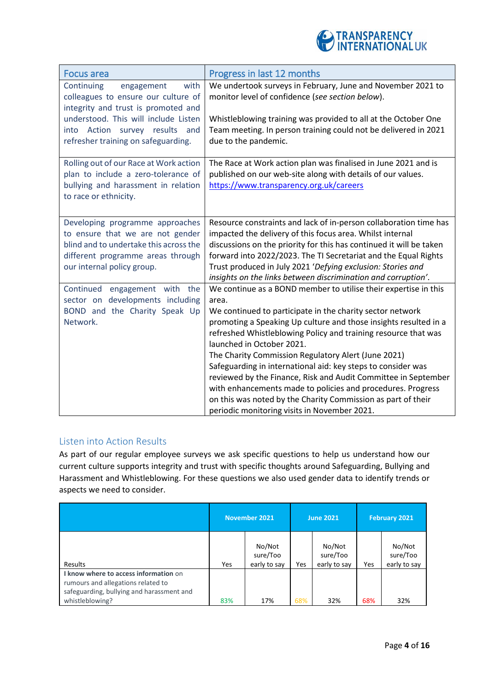

| Focus area                                                                                                                                                                       | Progress in last 12 months                                                                                                                                                                                                                                                                                                                                                                                                                                                                                                                                                                                                                                                       |
|----------------------------------------------------------------------------------------------------------------------------------------------------------------------------------|----------------------------------------------------------------------------------------------------------------------------------------------------------------------------------------------------------------------------------------------------------------------------------------------------------------------------------------------------------------------------------------------------------------------------------------------------------------------------------------------------------------------------------------------------------------------------------------------------------------------------------------------------------------------------------|
| Continuing<br>with<br>engagement<br>colleagues to ensure our culture of<br>integrity and trust is promoted and<br>understood. This will include Listen                           | We undertook surveys in February, June and November 2021 to<br>monitor level of confidence (see section below).<br>Whistleblowing training was provided to all at the October One                                                                                                                                                                                                                                                                                                                                                                                                                                                                                                |
| into Action survey results and<br>refresher training on safeguarding.                                                                                                            | Team meeting. In person training could not be delivered in 2021<br>due to the pandemic.                                                                                                                                                                                                                                                                                                                                                                                                                                                                                                                                                                                          |
| Rolling out of our Race at Work action<br>plan to include a zero-tolerance of<br>bullying and harassment in relation<br>to race or ethnicity.                                    | The Race at Work action plan was finalised in June 2021 and is<br>published on our web-site along with details of our values.<br>https://www.transparency.org.uk/careers                                                                                                                                                                                                                                                                                                                                                                                                                                                                                                         |
| Developing programme approaches<br>to ensure that we are not gender<br>blind and to undertake this across the<br>different programme areas through<br>our internal policy group. | Resource constraints and lack of in-person collaboration time has<br>impacted the delivery of this focus area. Whilst internal<br>discussions on the priority for this has continued it will be taken<br>forward into 2022/2023. The TI Secretariat and the Equal Rights<br>Trust produced in July 2021 'Defying exclusion: Stories and<br>insights on the links between discrimination and corruption'.                                                                                                                                                                                                                                                                         |
| Continued engagement with the<br>sector on developments including<br>BOND and the Charity Speak Up<br>Network.                                                                   | We continue as a BOND member to utilise their expertise in this<br>area.<br>We continued to participate in the charity sector network<br>promoting a Speaking Up culture and those insights resulted in a<br>refreshed Whistleblowing Policy and training resource that was<br>launched in October 2021.<br>The Charity Commission Regulatory Alert (June 2021)<br>Safeguarding in international aid: key steps to consider was<br>reviewed by the Finance, Risk and Audit Committee in September<br>with enhancements made to policies and procedures. Progress<br>on this was noted by the Charity Commission as part of their<br>periodic monitoring visits in November 2021. |

## Listen into Action Results

As part of our regular employee surveys we ask specific questions to help us understand how our current culture supports integrity and trust with specific thoughts around Safeguarding, Bullying and Harassment and Whistleblowing. For these questions we also used gender data to identify trends or aspects we need to consider.

|                                                                                                                                             | November 2021 |                                    | <b>June 2021</b> |                                    | <b>February 2021</b> |                                    |
|---------------------------------------------------------------------------------------------------------------------------------------------|---------------|------------------------------------|------------------|------------------------------------|----------------------|------------------------------------|
| <b>Results</b>                                                                                                                              | Yes           | No/Not<br>sure/Too<br>early to say | Yes              | No/Not<br>sure/Too<br>early to say | Yes                  | No/Not<br>sure/Too<br>early to say |
| I know where to access information on<br>rumours and allegations related to<br>safeguarding, bullying and harassment and<br>whistleblowing? | 83%           | 17%                                | 68%              | 32%                                | 68%                  | 32%                                |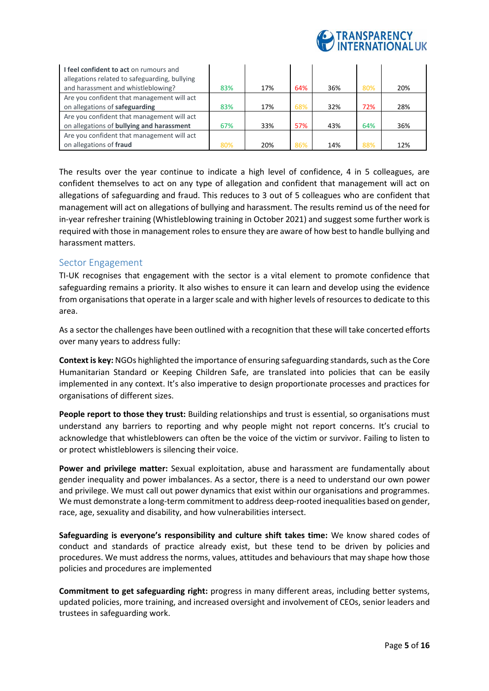

| I feel confident to act on rumours and<br>allegations related to safeguarding, bullying |     |     |     |     |     |     |
|-----------------------------------------------------------------------------------------|-----|-----|-----|-----|-----|-----|
| and harassment and whistleblowing?                                                      | 83% | 17% | 64% | 36% | 80% | 20% |
| Are you confident that management will act                                              |     |     |     |     |     |     |
| on allegations of safeguarding                                                          | 83% | 17% | 68% | 32% | 72% | 28% |
| Are you confident that management will act                                              |     |     |     |     |     |     |
| on allegations of bullying and harassment                                               | 67% | 33% | 57% | 43% | 64% | 36% |
| Are you confident that management will act                                              |     |     |     |     |     |     |
| on allegations of fraud                                                                 | 80% | 20% | 86% | 14% | 88% | 12% |

The results over the year continue to indicate a high level of confidence, 4 in 5 colleagues, are confident themselves to act on any type of allegation and confident that management will act on allegations of safeguarding and fraud. This reduces to 3 out of 5 colleagues who are confident that management will act on allegations of bullying and harassment. The results remind us of the need for in-year refresher training (Whistleblowing training in October 2021) and suggest some further work is required with those in management roles to ensure they are aware of how best to handle bullying and harassment matters.

## Sector Engagement

TI-UK recognises that engagement with the sector is a vital element to promote confidence that safeguarding remains a priority. It also wishes to ensure it can learn and develop using the evidence from organisations that operate in a larger scale and with higher levels of resources to dedicate to this area.

As a sector the challenges have been outlined with a recognition that these will take concerted efforts over many years to address fully:

**Context is key:** NGOs highlighted the importance of ensuring safeguarding standards, such as the Core Humanitarian Standard or Keeping Children Safe, are translated into policies that can be easily implemented in any context. It's also imperative to design proportionate processes and practices for organisations of different sizes.

**People report to those they trust:** Building relationships and trust is essential, so organisations must understand any barriers to reporting and why people might not report concerns. It's crucial to acknowledge that whistleblowers can often be the voice of the victim or survivor. Failing to listen to or protect whistleblowers is silencing their voice.

**Power and privilege matter:** Sexual exploitation, abuse and harassment are fundamentally about gender inequality and power imbalances. As a sector, there is a need to understand our own power and privilege. We must call out power dynamics that exist within our organisations and programmes. We must demonstrate a long-term commitment to address deep-rooted inequalities based on gender, race, age, sexuality and disability, and how vulnerabilities intersect.

**Safeguarding is everyone's responsibility and culture shift takes time:** We know shared codes of conduct and standards of practice already exist, but these tend to be driven by policies and procedures. We must address the norms, values, attitudes and behaviours that may shape how those policies and procedures are implemented

**Commitment to get safeguarding right:** progress in many different areas, including better systems, updated policies, more training, and increased oversight and involvement of CEOs, senior leaders and trustees in safeguarding work.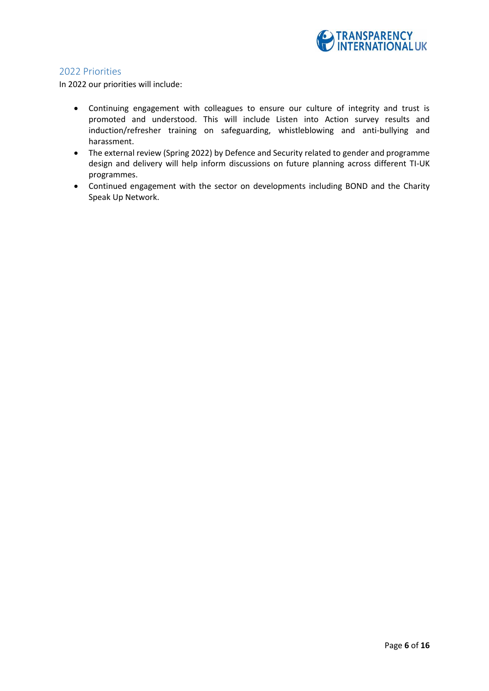

## 2022 Priorities

In 2022 our priorities will include:

- Continuing engagement with colleagues to ensure our culture of integrity and trust is promoted and understood. This will include Listen into Action survey results and induction/refresher training on safeguarding, whistleblowing and anti-bullying and harassment.
- The external review (Spring 2022) by Defence and Security related to gender and programme design and delivery will help inform discussions on future planning across different TI-UK programmes.
- Continued engagement with the sector on developments including BOND and the Charity Speak Up Network.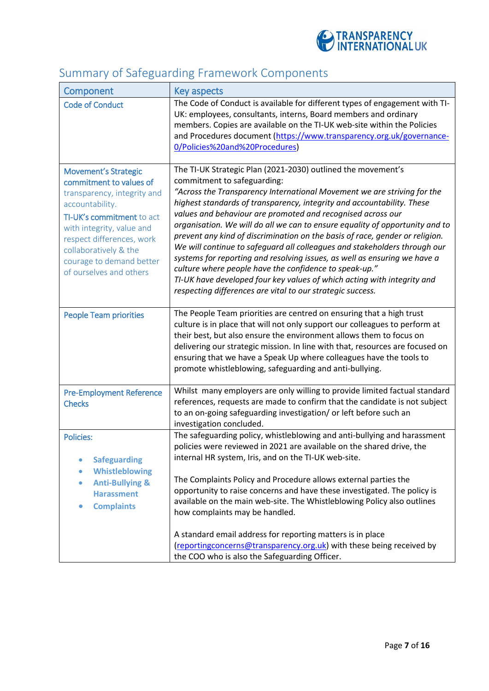

# Summary of Safeguarding Framework Components

| Component                                                                                                                                                                                                                                                                       | Key aspects                                                                                                                                                                                                                                                                                                                                                                                                                                                                                                                                                                                                                                                                                                                                                                                                                                  |
|---------------------------------------------------------------------------------------------------------------------------------------------------------------------------------------------------------------------------------------------------------------------------------|----------------------------------------------------------------------------------------------------------------------------------------------------------------------------------------------------------------------------------------------------------------------------------------------------------------------------------------------------------------------------------------------------------------------------------------------------------------------------------------------------------------------------------------------------------------------------------------------------------------------------------------------------------------------------------------------------------------------------------------------------------------------------------------------------------------------------------------------|
| <b>Code of Conduct</b>                                                                                                                                                                                                                                                          | The Code of Conduct is available for different types of engagement with TI-<br>UK: employees, consultants, interns, Board members and ordinary<br>members. Copies are available on the TI-UK web-site within the Policies<br>and Procedures document (https://www.transparency.org.uk/governance-<br>0/Policies%20and%20Procedures)                                                                                                                                                                                                                                                                                                                                                                                                                                                                                                          |
| <b>Movement's Strategic</b><br>commitment to values of<br>transparency, integrity and<br>accountability.<br>TI-UK's commitment to act<br>with integrity, value and<br>respect differences, work<br>collaboratively & the<br>courage to demand better<br>of ourselves and others | The TI-UK Strategic Plan (2021-2030) outlined the movement's<br>commitment to safeguarding:<br>"Across the Transparency International Movement we are striving for the<br>highest standards of transparency, integrity and accountability. These<br>values and behaviour are promoted and recognised across our<br>organisation. We will do all we can to ensure equality of opportunity and to<br>prevent any kind of discrimination on the basis of race, gender or religion.<br>We will continue to safeguard all colleagues and stakeholders through our<br>systems for reporting and resolving issues, as well as ensuring we have a<br>culture where people have the confidence to speak-up."<br>TI-UK have developed four key values of which acting with integrity and<br>respecting differences are vital to our strategic success. |
| <b>People Team priorities</b>                                                                                                                                                                                                                                                   | The People Team priorities are centred on ensuring that a high trust<br>culture is in place that will not only support our colleagues to perform at<br>their best, but also ensure the environment allows them to focus on<br>delivering our strategic mission. In line with that, resources are focused on<br>ensuring that we have a Speak Up where colleagues have the tools to<br>promote whistleblowing, safeguarding and anti-bullying.                                                                                                                                                                                                                                                                                                                                                                                                |
| <b>Pre-Employment Reference</b><br><b>Checks</b>                                                                                                                                                                                                                                | Whilst many employers are only willing to provide limited factual standard<br>references, requests are made to confirm that the candidate is not subject<br>to an on-going safeguarding investigation/ or left before such an<br>investigation concluded.                                                                                                                                                                                                                                                                                                                                                                                                                                                                                                                                                                                    |
| <b>Policies:</b><br><b>Safeguarding</b><br><b>Whistleblowing</b><br><b>Anti-Bullying &amp;</b><br><b>Harassment</b><br><b>Complaints</b>                                                                                                                                        | The safeguarding policy, whistleblowing and anti-bullying and harassment<br>policies were reviewed in 2021 are available on the shared drive, the<br>internal HR system, Iris, and on the TI-UK web-site.<br>The Complaints Policy and Procedure allows external parties the<br>opportunity to raise concerns and have these investigated. The policy is<br>available on the main web-site. The Whistleblowing Policy also outlines<br>how complaints may be handled.<br>A standard email address for reporting matters is in place<br>(reporting concerns@transparency.org.uk) with these being received by<br>the COO who is also the Safeguarding Officer.                                                                                                                                                                                |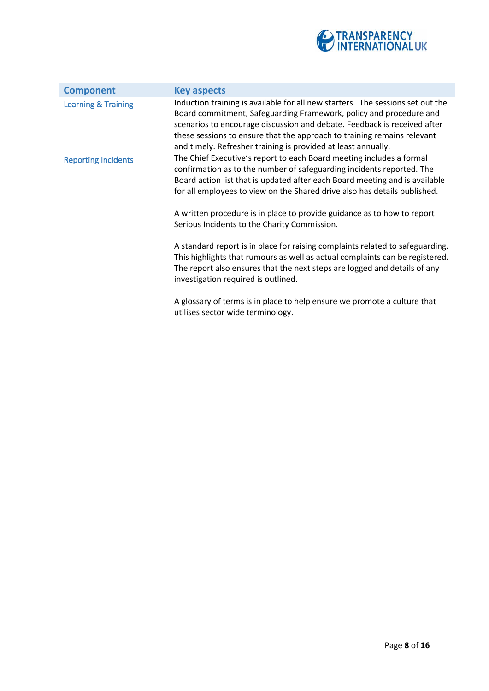

| <b>Component</b>               | <b>Key aspects</b>                                                                                                                                                                                                                                                                                                                                                                                                                                                                                                                                                                                                                                                                                                        |
|--------------------------------|---------------------------------------------------------------------------------------------------------------------------------------------------------------------------------------------------------------------------------------------------------------------------------------------------------------------------------------------------------------------------------------------------------------------------------------------------------------------------------------------------------------------------------------------------------------------------------------------------------------------------------------------------------------------------------------------------------------------------|
| <b>Learning &amp; Training</b> | Induction training is available for all new starters. The sessions set out the<br>Board commitment, Safeguarding Framework, policy and procedure and<br>scenarios to encourage discussion and debate. Feedback is received after<br>these sessions to ensure that the approach to training remains relevant<br>and timely. Refresher training is provided at least annually.                                                                                                                                                                                                                                                                                                                                              |
| <b>Reporting Incidents</b>     | The Chief Executive's report to each Board meeting includes a formal<br>confirmation as to the number of safeguarding incidents reported. The<br>Board action list that is updated after each Board meeting and is available<br>for all employees to view on the Shared drive also has details published.<br>A written procedure is in place to provide guidance as to how to report<br>Serious Incidents to the Charity Commission.<br>A standard report is in place for raising complaints related to safeguarding.<br>This highlights that rumours as well as actual complaints can be registered.<br>The report also ensures that the next steps are logged and details of any<br>investigation required is outlined. |
|                                | A glossary of terms is in place to help ensure we promote a culture that<br>utilises sector wide terminology.                                                                                                                                                                                                                                                                                                                                                                                                                                                                                                                                                                                                             |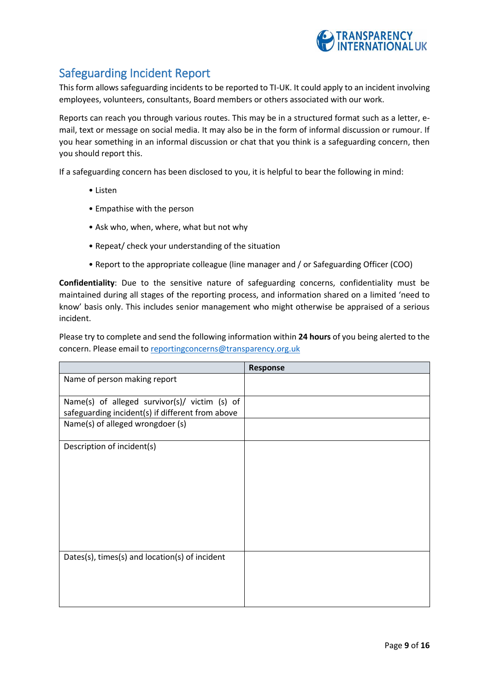

## Safeguarding Incident Report

This form allows safeguarding incidents to be reported to TI-UK. It could apply to an incident involving employees, volunteers, consultants, Board members or others associated with our work.

Reports can reach you through various routes. This may be in a structured format such as a letter, email, text or message on social media. It may also be in the form of informal discussion or rumour. If you hear something in an informal discussion or chat that you think is a safeguarding concern, then you should report this.

If a safeguarding concern has been disclosed to you, it is helpful to bear the following in mind:

- Listen
- Empathise with the person
- Ask who, when, where, what but not why
- Repeat/ check your understanding of the situation
- Report to the appropriate colleague (line manager and / or Safeguarding Officer (COO)

**Confidentiality**: Due to the sensitive nature of safeguarding concerns, confidentiality must be maintained during all stages of the reporting process, and information shared on a limited 'need to know' basis only. This includes senior management who might otherwise be appraised of a serious incident.

Please try to complete and send the following information within **24 hours** of you being alerted to the concern. Please email t[o reportingconcerns@transparency.org.uk](mailto:reportingconcerns@transparency.org.uk)

|                                                                                                   | <b>Response</b> |
|---------------------------------------------------------------------------------------------------|-----------------|
| Name of person making report                                                                      |                 |
| Name(s) of alleged survivor(s)/ victim (s) of<br>safeguarding incident(s) if different from above |                 |
| Name(s) of alleged wrongdoer (s)                                                                  |                 |
| Description of incident(s)                                                                        |                 |
| Dates(s), times(s) and location(s) of incident                                                    |                 |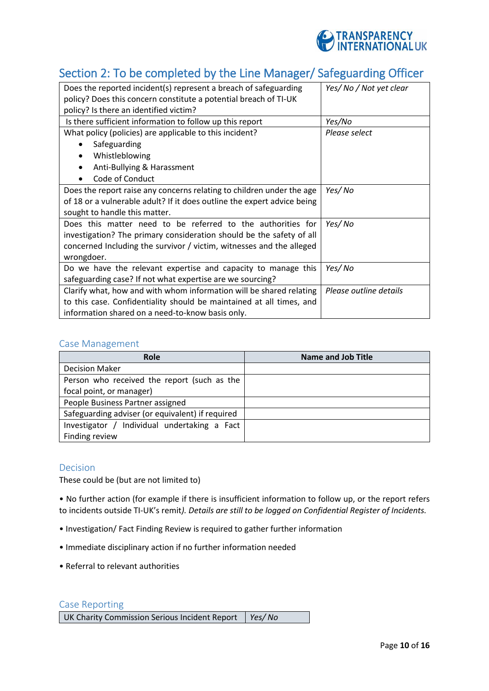

## Section 2: To be completed by the Line Manager/ Safeguarding Officer

| Does the reported incident(s) represent a breach of safeguarding<br>policy? Does this concern constitute a potential breach of TI-UK | Yes/No / Not yet clear |
|--------------------------------------------------------------------------------------------------------------------------------------|------------------------|
| policy? Is there an identified victim?                                                                                               |                        |
| Is there sufficient information to follow up this report                                                                             | Yes/No                 |
| What policy (policies) are applicable to this incident?                                                                              | Please select          |
| Safeguarding                                                                                                                         |                        |
| Whistleblowing<br>$\bullet$                                                                                                          |                        |
| Anti-Bullying & Harassment                                                                                                           |                        |
| Code of Conduct                                                                                                                      |                        |
| Does the report raise any concerns relating to children under the age                                                                | Yes/ No                |
| of 18 or a vulnerable adult? If it does outline the expert advice being                                                              |                        |
| sought to handle this matter.                                                                                                        |                        |
| Does this matter need to be referred to the authorities for                                                                          | Yes/No                 |
| investigation? The primary consideration should be the safety of all                                                                 |                        |
| concerned Including the survivor / victim, witnesses and the alleged                                                                 |                        |
| wrongdoer.                                                                                                                           |                        |
| Do we have the relevant expertise and capacity to manage this                                                                        | Yes/ No                |
| safeguarding case? If not what expertise are we sourcing?                                                                            |                        |
| Clarify what, how and with whom information will be shared relating                                                                  | Please outline details |
| to this case. Confidentiality should be maintained at all times, and                                                                 |                        |
| information shared on a need-to-know basis only.                                                                                     |                        |

## Case Management

| <b>Role</b>                                      | <b>Name and Job Title</b> |
|--------------------------------------------------|---------------------------|
| <b>Decision Maker</b>                            |                           |
| Person who received the report (such as the      |                           |
| focal point, or manager)                         |                           |
| People Business Partner assigned                 |                           |
| Safeguarding adviser (or equivalent) if required |                           |
| Investigator / Individual undertaking a Fact     |                           |
| Finding review                                   |                           |

## Decision

These could be (but are not limited to)

• No further action (for example if there is insufficient information to follow up, or the report refers to incidents outside TI-UK's remit*). Details are still to be logged on Confidential Register of Incidents.* 

- Investigation/ Fact Finding Review is required to gather further information
- Immediate disciplinary action if no further information needed
- Referral to relevant authorities

## Case Reporting

UK Charity Commission Serious Incident Report *Yes/ No*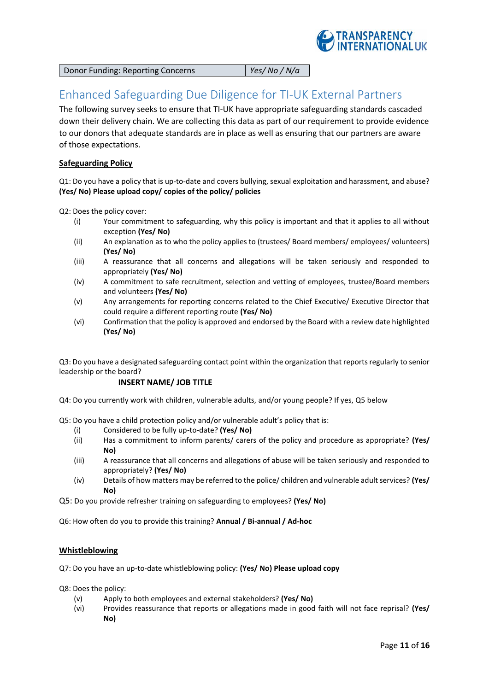

Donor Funding: Reporting Concerns *Yes/ No / N/a*

## Enhanced Safeguarding Due Diligence for TI-UK External Partners

The following survey seeks to ensure that TI-UK have appropriate safeguarding standards cascaded down their delivery chain. We are collecting this data as part of our requirement to provide evidence to our donors that adequate standards are in place as well as ensuring that our partners are aware of those expectations.

## **Safeguarding Policy**

Q1: Do you have a policy that is up-to-date and covers bullying, sexual exploitation and harassment, and abuse? **(Yes/ No) Please upload copy/ copies of the policy/ policies**

Q2: Does the policy cover:

- (i) Your commitment to safeguarding, why this policy is important and that it applies to all without exception **(Yes/ No)**
- (ii) An explanation as to who the policy applies to (trustees/ Board members/ employees/ volunteers) **(Yes/ No)**
- (iii) A reassurance that all concerns and allegations will be taken seriously and responded to appropriately **(Yes/ No)**
- (iv) A commitment to safe recruitment, selection and vetting of employees, trustee/Board members and volunteers **(Yes/ No)**
- (v) Any arrangements for reporting concerns related to the Chief Executive/ Executive Director that could require a different reporting route **(Yes/ No)**
- (vi) Confirmation that the policy is approved and endorsed by the Board with a review date highlighted **(Yes/ No)**

Q3: Do you have a designated safeguarding contact point within the organization that reports regularly to senior leadership or the board?

## **INSERT NAME/ JOB TITLE**

Q4: Do you currently work with children, vulnerable adults, and/or young people? If yes, Q5 below

Q5: Do you have a child protection policy and/or vulnerable adult's policy that is:

- (i) Considered to be fully up-to-date? **(Yes/ No)**
- (ii) Has a commitment to inform parents/ carers of the policy and procedure as appropriate? **(Yes/ No)**
- (iii) A reassurance that all concerns and allegations of abuse will be taken seriously and responded to appropriately? **(Yes/ No)**
- (iv) Details of how matters may be referred to the police/ children and vulnerable adult services? **(Yes/ No)**

Q5: Do you provide refresher training on safeguarding to employees? **(Yes/ No)**

Q6: How often do you to provide this training? **Annual / Bi-annual / Ad-hoc** 

## **Whistleblowing**

Q7: Do you have an up-to-date whistleblowing policy: **(Yes/ No) Please upload copy**

Q8: Does the policy:

- (v) Apply to both employees and external stakeholders? **(Yes/ No)**
- (vi) Provides reassurance that reports or allegations made in good faith will not face reprisal? **(Yes/ No)**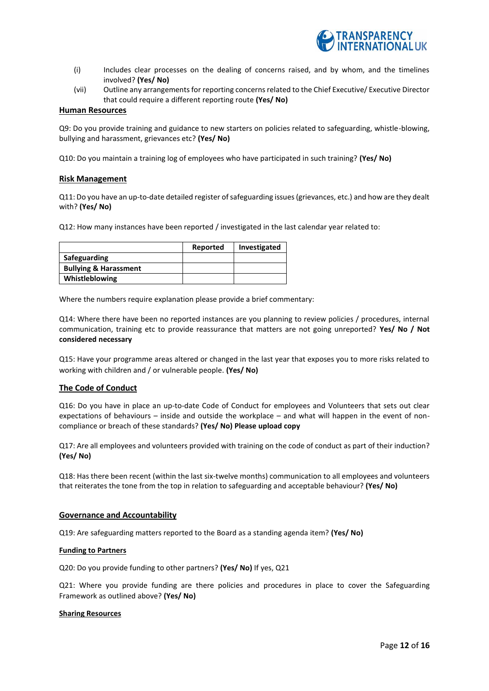

- (i) Includes clear processes on the dealing of concerns raised, and by whom, and the timelines involved? **(Yes/ No)**
- (vii) Outline any arrangements for reporting concerns related to the Chief Executive/ Executive Director that could require a different reporting route **(Yes/ No)**

#### **Human Resources**

Q9: Do you provide training and guidance to new starters on policies related to safeguarding, whistle-blowing, bullying and harassment, grievances etc? **(Yes/ No)**

Q10: Do you maintain a training log of employees who have participated in such training? **(Yes/ No)**

#### **Risk Management**

Q11: Do you have an up-to-date detailed register of safeguarding issues (grievances, etc.) and how are they dealt with? **(Yes/ No)**

Q12: How many instances have been reported / investigated in the last calendar year related to:

|                                  | Reported | Investigated |
|----------------------------------|----------|--------------|
| Safeguarding                     |          |              |
| <b>Bullying &amp; Harassment</b> |          |              |
| Whistleblowing                   |          |              |

Where the numbers require explanation please provide a brief commentary:

Q14: Where there have been no reported instances are you planning to review policies / procedures, internal communication, training etc to provide reassurance that matters are not going unreported? **Yes/ No / Not considered necessary** 

Q15: Have your programme areas altered or changed in the last year that exposes you to more risks related to working with children and / or vulnerable people. **(Yes/ No)**

#### **The Code of Conduct**

Q16: Do you have in place an up-to-date Code of Conduct for employees and Volunteers that sets out clear expectations of behaviours – inside and outside the workplace – and what will happen in the event of noncompliance or breach of these standards? **(Yes/ No) Please upload copy**

Q17: Are all employees and volunteers provided with training on the code of conduct as part of their induction? **(Yes/ No)**

Q18: Has there been recent (within the last six-twelve months) communication to all employees and volunteers that reiterates the tone from the top in relation to safeguarding and acceptable behaviour? **(Yes/ No)**

#### **Governance and Accountability**

Q19: Are safeguarding matters reported to the Board as a standing agenda item? **(Yes/ No)**

#### **Funding to Partners**

Q20: Do you provide funding to other partners? **(Yes/ No)** If yes, Q21

Q21: Where you provide funding are there policies and procedures in place to cover the Safeguarding Framework as outlined above? **(Yes/ No)**

#### **Sharing Resources**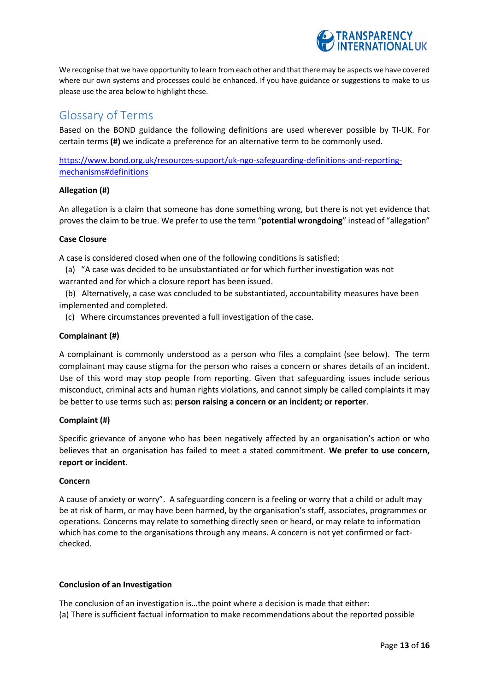

We recognise that we have opportunity to learn from each other and that there may be aspects we have covered where our own systems and processes could be enhanced. If you have guidance or suggestions to make to us please use the area below to highlight these.

## Glossary of Terms

Based on the BOND guidance the following definitions are used wherever possible by TI-UK. For certain terms **(#)** we indicate a preference for an alternative term to be commonly used.

[https://www.bond.org.uk/resources-support/uk-ngo-safeguarding-definitions-and-reporting](https://www.bond.org.uk/resources-support/uk-ngo-safeguarding-definitions-and-reporting-mechanisms#definitions)[mechanisms#definitions](https://www.bond.org.uk/resources-support/uk-ngo-safeguarding-definitions-and-reporting-mechanisms#definitions)

## **Allegation (#)**

An allegation is a claim that someone has done something wrong, but there is not yet evidence that proves the claim to be true. We prefer to use the term "**potential wrongdoing**" instead of "allegation"

## **Case Closure**

A case is considered closed when one of the following conditions is satisfied:

(a) "A case was decided to be unsubstantiated or for which further investigation was not warranted and for which a closure report has been issued.

(b) Alternatively, a case was concluded to be substantiated, accountability measures have been implemented and completed.

(c) Where circumstances prevented a full investigation of the case.

## **Complainant (#)**

A complainant is commonly understood as a person who files a complaint (see below). The term complainant may cause stigma for the person who raises a concern or shares details of an incident. Use of this word may stop people from reporting. Given that safeguarding issues include serious misconduct, criminal acts and human rights violations, and cannot simply be called complaints it may be better to use terms such as: **person raising a concern or an incident; or reporter**.

## **Complaint (#)**

Specific grievance of anyone who has been negatively affected by an organisation's action or who believes that an organisation has failed to meet a stated commitment. **We prefer to use concern, report or incident**.

#### **Concern**

A cause of anxiety or worry". A safeguarding concern is a feeling or worry that a child or adult may be at risk of harm, or may have been harmed, by the organisation's staff, associates, programmes or operations. Concerns may relate to something directly seen or heard, or may relate to information which has come to the organisations through any means. A concern is not yet confirmed or factchecked.

## **Conclusion of an Investigation**

The conclusion of an investigation is…the point where a decision is made that either: (a) There is sufficient factual information to make recommendations about the reported possible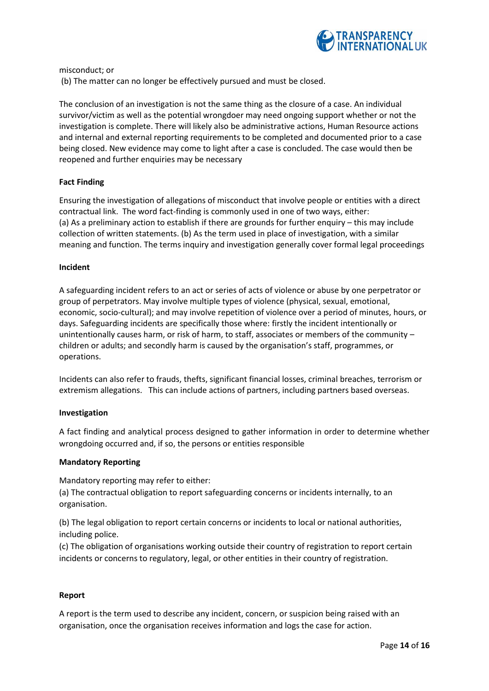

misconduct; or (b) The matter can no longer be effectively pursued and must be closed.

The conclusion of an investigation is not the same thing as the closure of a case. An individual survivor/victim as well as the potential wrongdoer may need ongoing support whether or not the investigation is complete. There will likely also be administrative actions, Human Resource actions and internal and external reporting requirements to be completed and documented prior to a case being closed. New evidence may come to light after a case is concluded. The case would then be reopened and further enquiries may be necessary

## **Fact Finding**

Ensuring the investigation of allegations of misconduct that involve people or entities with a direct contractual link. The word fact-finding is commonly used in one of two ways, either: (a) As a preliminary action to establish if there are grounds for further enquiry – this may include collection of written statements. (b) As the term used in place of investigation, with a similar meaning and function. The terms inquiry and investigation generally cover formal legal proceedings

#### **Incident**

A safeguarding incident refers to an act or series of acts of violence or abuse by one perpetrator or group of perpetrators. May involve multiple types of violence (physical, sexual, emotional, economic, socio-cultural); and may involve repetition of violence over a period of minutes, hours, or days. Safeguarding incidents are specifically those where: firstly the incident intentionally or unintentionally causes harm, or risk of harm, to staff, associates or members of the community – children or adults; and secondly harm is caused by the organisation's staff, programmes, or operations.

Incidents can also refer to frauds, thefts, significant financial losses, criminal breaches, terrorism or extremism allegations. This can include actions of partners, including partners based overseas.

#### **Investigation**

A fact finding and analytical process designed to gather information in order to determine whether wrongdoing occurred and, if so, the persons or entities responsible

#### **Mandatory Reporting**

Mandatory reporting may refer to either:

(a) The contractual obligation to report safeguarding concerns or incidents internally, to an organisation.

(b) The legal obligation to report certain concerns or incidents to local or national authorities, including police.

(c) The obligation of organisations working outside their country of registration to report certain incidents or concerns to regulatory, legal, or other entities in their country of registration.

#### **Report**

A report is the term used to describe any incident, concern, or suspicion being raised with an organisation, once the organisation receives information and logs the case for action.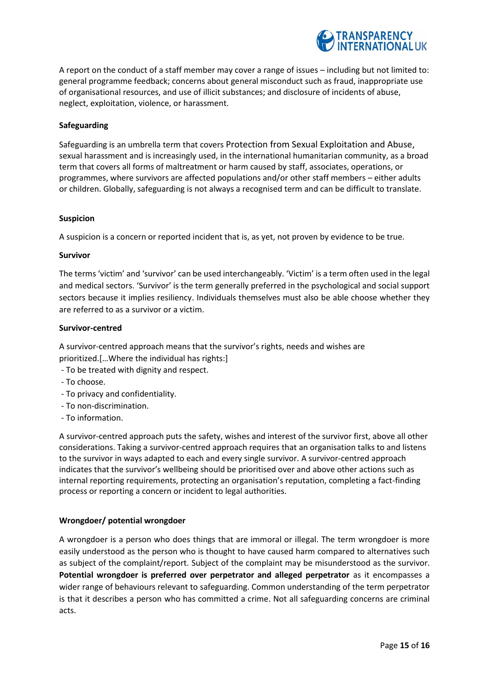

A report on the conduct of a staff member may cover a range of issues – including but not limited to: general programme feedback; concerns about general misconduct such as fraud, inappropriate use of organisational resources, and use of illicit substances; and disclosure of incidents of abuse, neglect, exploitation, violence, or harassment.

#### **Safeguarding**

Safeguarding is an umbrella term that covers Protection from Sexual Exploitation and Abuse, sexual harassment and is increasingly used, in the international humanitarian community, as a broad term that covers all forms of maltreatment or harm caused by staff, associates, operations, or programmes, where survivors are affected populations and/or other staff members – either adults or children. Globally, safeguarding is not always a recognised term and can be difficult to translate.

#### **Suspicion**

A suspicion is a concern or reported incident that is, as yet, not proven by evidence to be true.

#### **Survivor**

The terms 'victim' and 'survivor' can be used interchangeably. 'Victim' is a term often used in the legal and medical sectors. 'Survivor' is the term generally preferred in the psychological and social support sectors because it implies resiliency. Individuals themselves must also be able choose whether they are referred to as a survivor or a victim.

#### **Survivor-centred**

A survivor-centred approach means that the survivor's rights, needs and wishes are prioritized.[…Where the individual has rights:]

- To be treated with dignity and respect.
- To choose.
- To privacy and confidentiality.
- To non-discrimination.
- To information.

A survivor-centred approach puts the safety, wishes and interest of the survivor first, above all other considerations. Taking a survivor-centred approach requires that an organisation talks to and listens to the survivor in ways adapted to each and every single survivor. A survivor-centred approach indicates that the survivor's wellbeing should be prioritised over and above other actions such as internal reporting requirements, protecting an organisation's reputation, completing a fact-finding process or reporting a concern or incident to legal authorities.

## **Wrongdoer/ potential wrongdoer**

A wrongdoer is a person who does things that are immoral or illegal. The term wrongdoer is more easily understood as the person who is thought to have caused harm compared to alternatives such as subject of the complaint/report. Subject of the complaint may be misunderstood as the survivor. **Potential wrongdoer is preferred over perpetrator and alleged perpetrator** as it encompasses a wider range of behaviours relevant to safeguarding. Common understanding of the term perpetrator is that it describes a person who has committed a crime. Not all safeguarding concerns are criminal acts.